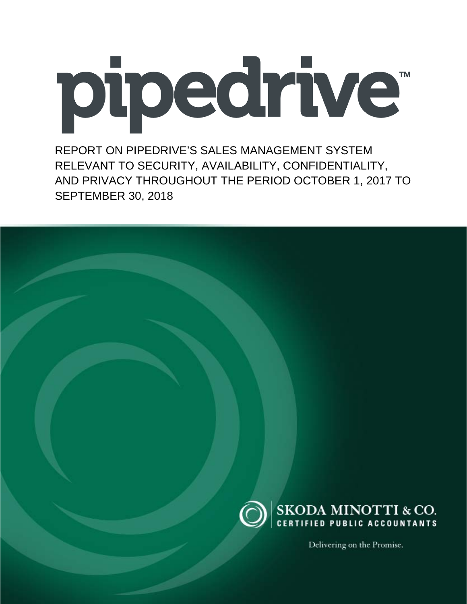

SEPTEMBER 30, 2018



Delivering on the Promise.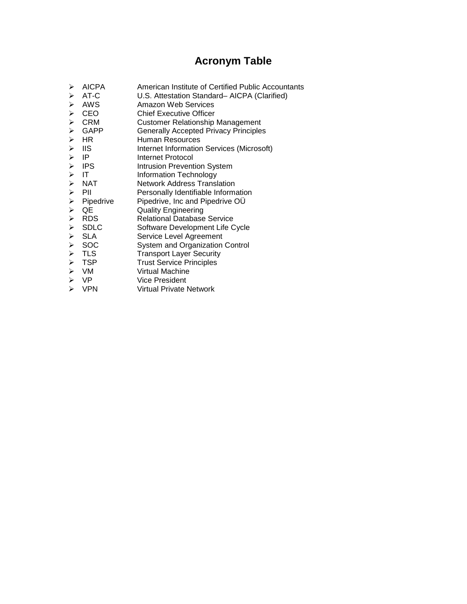### **Acronym Table**

- AICPA American Institute of Certified Public Accountants<br>
AT-C U.S. Attestation Standard– AICPA (Clarified)
- > AT-C U.S. Attestation Standard– AICPA (Clarified)<br>
→ AWS Amazon Web Services
- → AWS Amazon Web Services<br>→ CEO Chief Executive Officer
- > CEO Chief Executive Officer<br>
→ CRM Customer Relationship
- ► CRM Customer Relationship Management<br>► GAPP Generally Accepted Privacy Principles
- $\triangleright$  GAPP Generally Accepted Privacy Principles<br>  $\triangleright$  HR Human Resources
- → HR Human Resources<br>
→ IIS Internet Information
- IIS Internet Information Services (Microsoft)<br>IP Internet Protocol
- > IP Internet Protocol<br>
> IPS Intrusion Prevent
- > IPS Intrusion Prevention System<br>
> IT Information Technology
- Information Technology
- > NAT Network Address Translation
- $\triangleright$  PII Personally Identifiable Information<br>  $\triangleright$  Pipedrive Pipedrive, Inc and Pipedrive OU
- $\triangleright$  Pipedrive Pipedrive, Inc and Pipedrive OÜ<br>  $\triangleright$  QE Quality Engineering
- 
- → QE Quality Engineering<br>
→ RDS Relational Database RDS Relational Database Service<br>
Relational Database Service<br>
Relational Development Life C
- > SDLC Software Development Life Cycle<br>
→ SLA Service Level Agreement
- > SLA Service Level Agreement<br>
→ SOC System and Organization
- $\geq$  SOC System and Organization Control<br> $\geq$  TLS Transport Laver Security
- ▶ <b>TLS</b><br/>\n> TLS<br/>\nTrust Service Principles
- **Trust Service Principles**
- → VM Virtual Machine<br>
→ VP Vice President
- → VP Vice President<br>
→ VPN Virtual Private I
- Virtual Private Network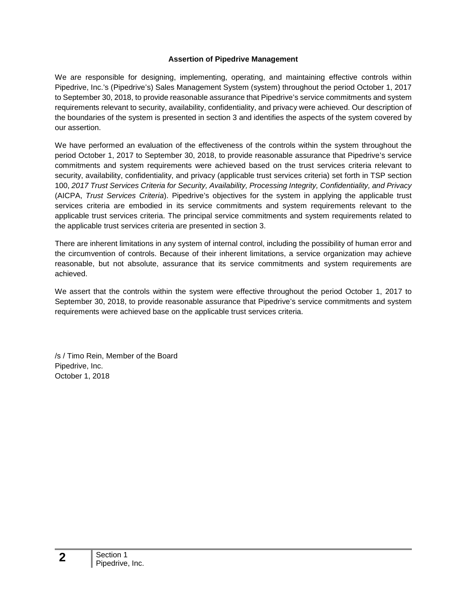### **Assertion of Pipedrive Management**

We are responsible for designing, implementing, operating, and maintaining effective controls within Pipedrive, Inc.'s (Pipedrive's) Sales Management System (system) throughout the period October 1, 2017 to September 30, 2018, to provide reasonable assurance that Pipedrive's service commitments and system requirements relevant to security, availability, confidentiality, and privacy were achieved. Our description of the boundaries of the system is presented in section 3 and identifies the aspects of the system covered by our assertion.

We have performed an evaluation of the effectiveness of the controls within the system throughout the period October 1, 2017 to September 30, 2018, to provide reasonable assurance that Pipedrive's service commitments and system requirements were achieved based on the trust services criteria relevant to security, availability, confidentiality, and privacy (applicable trust services criteria) set forth in TSP section 100, *2017 Trust Services Criteria for Security, Availability, Processing Integrity, Confidentiality, and Privacy* (AICPA, *Trust Services Criteria*). Pipedrive's objectives for the system in applying the applicable trust services criteria are embodied in its service commitments and system requirements relevant to the applicable trust services criteria. The principal service commitments and system requirements related to the applicable trust services criteria are presented in section 3.

There are inherent limitations in any system of internal control, including the possibility of human error and the circumvention of controls. Because of their inherent limitations, a service organization may achieve reasonable, but not absolute, assurance that its service commitments and system requirements are achieved.

We assert that the controls within the system were effective throughout the period October 1, 2017 to September 30, 2018, to provide reasonable assurance that Pipedrive's service commitments and system requirements were achieved base on the applicable trust services criteria.

/s / Timo Rein, Member of the Board Pipedrive, Inc. October 1, 2018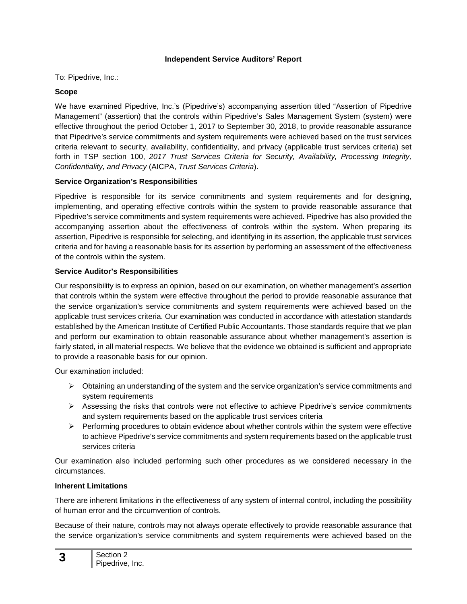### **Independent Service Auditors' Report**

To: Pipedrive, Inc.:

### **Scope**

We have examined Pipedrive, Inc.'s (Pipedrive's) accompanying assertion titled "Assertion of Pipedrive Management" (assertion) that the controls within Pipedrive's Sales Management System (system) were effective throughout the period October 1, 2017 to September 30, 2018, to provide reasonable assurance that Pipedrive's service commitments and system requirements were achieved based on the trust services criteria relevant to security, availability, confidentiality, and privacy (applicable trust services criteria) set forth in TSP section 100, *2017 Trust Services Criteria for Security, Availability, Processing Integrity, Confidentiality, and Privacy* (AICPA, *Trust Services Criteria*).

#### **Service Organization's Responsibilities**

Pipedrive is responsible for its service commitments and system requirements and for designing, implementing, and operating effective controls within the system to provide reasonable assurance that Pipedrive's service commitments and system requirements were achieved. Pipedrive has also provided the accompanying assertion about the effectiveness of controls within the system. When preparing its assertion, Pipedrive is responsible for selecting, and identifying in its assertion, the applicable trust services criteria and for having a reasonable basis for its assertion by performing an assessment of the effectiveness of the controls within the system.

#### **Service Auditor's Responsibilities**

Our responsibility is to express an opinion, based on our examination, on whether management's assertion that controls within the system were effective throughout the period to provide reasonable assurance that the service organization's service commitments and system requirements were achieved based on the applicable trust services criteria. Our examination was conducted in accordance with attestation standards established by the American Institute of Certified Public Accountants. Those standards require that we plan and perform our examination to obtain reasonable assurance about whether management's assertion is fairly stated, in all material respects. We believe that the evidence we obtained is sufficient and appropriate to provide a reasonable basis for our opinion.

Our examination included:

- $\triangleright$  Obtaining an understanding of the system and the service organization's service commitments and system requirements
- $\triangleright$  Assessing the risks that controls were not effective to achieve Pipedrive's service commitments and system requirements based on the applicable trust services criteria
- $\triangleright$  Performing procedures to obtain evidence about whether controls within the system were effective to achieve Pipedrive's service commitments and system requirements based on the applicable trust services criteria

Our examination also included performing such other procedures as we considered necessary in the circumstances.

#### **Inherent Limitations**

There are inherent limitations in the effectiveness of any system of internal control, including the possibility of human error and the circumvention of controls.

Because of their nature, controls may not always operate effectively to provide reasonable assurance that the service organization's service commitments and system requirements were achieved based on the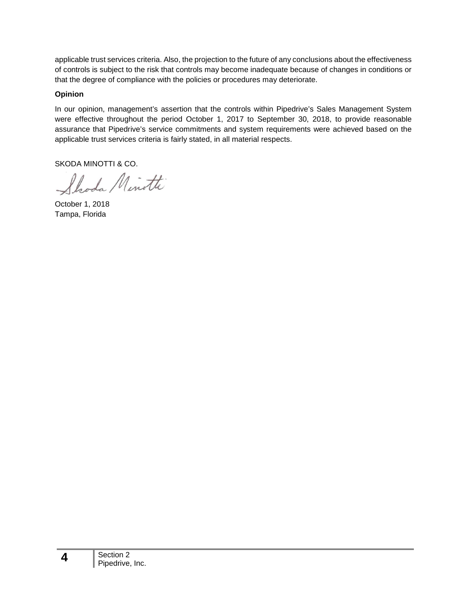applicable trust services criteria. Also, the projection to the future of any conclusions about the effectiveness of controls is subject to the risk that controls may become inadequate because of changes in conditions or that the degree of compliance with the policies or procedures may deteriorate.

### **Opinion**

In our opinion, management's assertion that the controls within Pipedrive's Sales Management System were effective throughout the period October 1, 2017 to September 30, 2018, to provide reasonable assurance that Pipedrive's service commitments and system requirements were achieved based on the applicable trust services criteria is fairly stated, in all material respects.

SKODA MINOTTI & CO.

Skoda Minitti

October 1, 2018 Tampa, Florida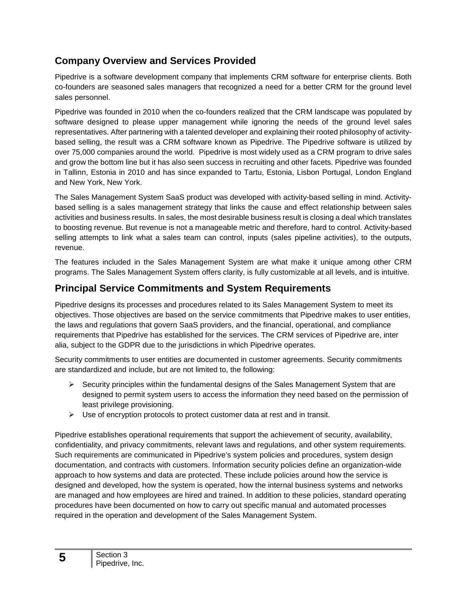# **Company Overview and Services Provided**

Pipedrive is a software development company that implements CRM software for enterprise clients. Both co-founders are seasoned sales managers that recognized a need for a better CRM for the ground level sales personnel.

Pipedrive was founded in 2010 when the co-founders realized that the CRM landscape was populated by software designed to please upper management while ignoring the needs of the ground level sales representatives. After partnering with a talented developer and explaining their rooted philosophy of activitybased selling, the result was a CRM software known as Pipedrive. The Pipedrive software is utilized by over 75,000 companies around the world. Pipedrive is most widely used as a CRM program to drive sales and grow the bottom line but it has also seen success in recruiting and other facets. Pipedrive was founded in Tallinn, Estonia in 2010 and has since expanded to Tartu, Estonia, Lisbon Portugal, London England and New York, New York.

The Sales Management System SaaS product was developed with activity-based selling in mind. Activitybased selling is a sales management strategy that links the cause and effect relationship between sales activities and business results. In sales, the most desirable business result is closing a deal which translates to boosting revenue. But revenue is not a manageable metric and therefore, hard to control. Activity-based selling attempts to link what a sales team can control, inputs (sales pipeline activities), to the outputs, revenue.

The features included in the Sales Management System are what make it unique among other CRM programs. The Sales Management System offers clarity, is fully customizable at all levels, and is intuitive.

# **Principal Service Commitments and System Requirements**

Pipedrive designs its processes and procedures related to its Sales Management System to meet its objectives. Those objectives are based on the service commitments that Pipedrive makes to user entities, the laws and regulations that govern SaaS providers, and the financial, operational, and compliance requirements that Pipedrive has established for the services. The CRM services of Pipedrive are, inter alia, subject to the GDPR due to the jurisdictions in which Pipedrive operates.

Security commitments to user entities are documented in customer agreements. Security commitments are standardized and include, but are not limited to, the following:

- $\triangleright$  Security principles within the fundamental designs of the Sales Management System that are designed to permit system users to access the information they need based on the permission of least privilege provisioning.
- $\triangleright$  Use of encryption protocols to protect customer data at rest and in transit.

Pipedrive establishes operational requirements that support the achievement of security, availability, confidentiality, and privacy commitments, relevant laws and regulations, and other system requirements. Such requirements are communicated in Pipedrive's system policies and procedures, system design documentation, and contracts with customers. Information security policies define an organization-wide approach to how systems and data are protected. These include policies around how the service is designed and developed, how the system is operated, how the internal business systems and networks are managed and how employees are hired and trained. In addition to these policies, standard operating procedures have been documented on how to carry out specific manual and automated processes required in the operation and development of the Sales Management System.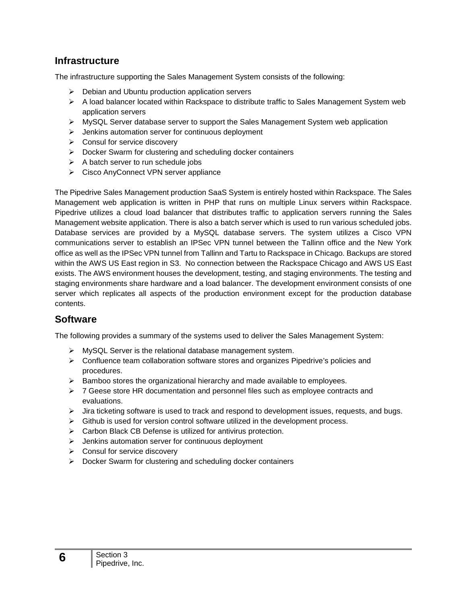### **Infrastructure**

The infrastructure supporting the Sales Management System consists of the following:

- $\triangleright$  Debian and Ubuntu production application servers
- $\triangleright$  A load balancer located within Rackspace to distribute traffic to Sales Management System web application servers
- $\triangleright$  MySQL Server database server to support the Sales Management System web application
- $\triangleright$  Jenkins automation server for continuous deployment
- $\triangleright$  Consul for service discovery
- Docker Swarm for clustering and scheduling docker containers
- $\triangleright$  A batch server to run schedule jobs
- ▶ Cisco AnyConnect VPN server appliance

The Pipedrive Sales Management production SaaS System is entirely hosted within Rackspace. The Sales Management web application is written in PHP that runs on multiple Linux servers within Rackspace. Pipedrive utilizes a cloud load balancer that distributes traffic to application servers running the Sales Management website application. There is also a batch server which is used to run various scheduled jobs. Database services are provided by a MySQL database servers. The system utilizes a Cisco VPN communications server to establish an IPSec VPN tunnel between the Tallinn office and the New York office as well as the IPSec VPN tunnel from Tallinn and Tartu to Rackspace in Chicago. Backups are stored within the AWS US East region in S3. No connection between the Rackspace Chicago and AWS US East exists. The AWS environment houses the development, testing, and staging environments. The testing and staging environments share hardware and a load balancer. The development environment consists of one server which replicates all aspects of the production environment except for the production database contents.

### **Software**

The following provides a summary of the systems used to deliver the Sales Management System:

- MySQL Server is the relational database management system.
- $\triangleright$  Confluence team collaboration software stores and organizes Pipedrive's policies and procedures.
- $\triangleright$  Bamboo stores the organizational hierarchy and made available to employees.
- $\triangleright$  7 Geese store HR documentation and personnel files such as employee contracts and evaluations.
- $\triangleright$  Jira ticketing software is used to track and respond to development issues, requests, and bugs.
- $\triangleright$  Github is used for version control software utilized in the development process.
- $\triangleright$  Carbon Black CB Defense is utilized for antivirus protection.
- $\triangleright$  Jenkins automation server for continuous deployment
- $\triangleright$  Consul for service discovery
- ▶ Docker Swarm for clustering and scheduling docker containers